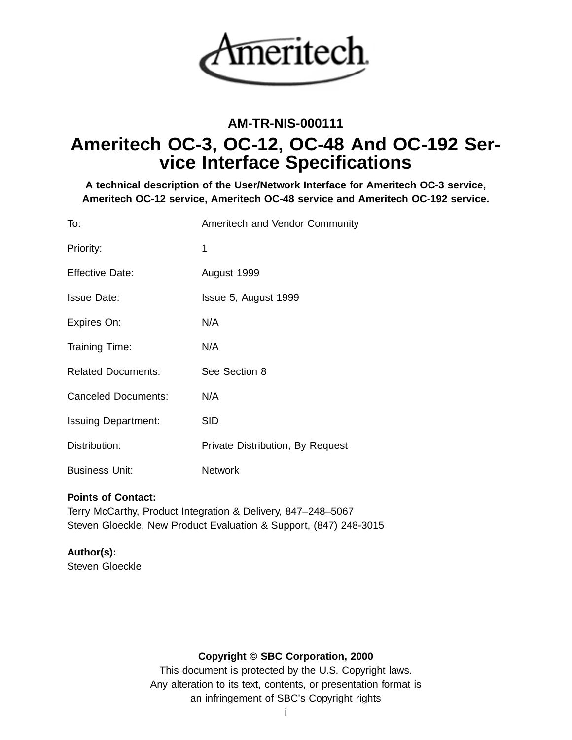

## **AM-TR-NIS-000111**

# **Ameritech OC-3, OC-12, OC-48 And OC-192 Service Interface Specifications**

**A technical description of the User/Network Interface for Ameritech OC-3 service, Ameritech OC-12 service, Ameritech OC-48 service and Ameritech OC-192 service.**

| To:                        | Ameritech and Vendor Community   |
|----------------------------|----------------------------------|
| Priority:                  | 1                                |
| <b>Effective Date:</b>     | August 1999                      |
| <b>Issue Date:</b>         | Issue 5, August 1999             |
| Expires On:                | N/A                              |
| Training Time:             | N/A                              |
| <b>Related Documents:</b>  | See Section 8                    |
| <b>Canceled Documents:</b> | N/A                              |
| <b>Issuing Department:</b> | <b>SID</b>                       |
| Distribution:              | Private Distribution, By Request |
| <b>Business Unit:</b>      | <b>Network</b>                   |

## **Points of Contact:**

Terry McCarthy, Product Integration & Delivery, 847–248–5067 Steven Gloeckle, New Product Evaluation & Support, (847) 248-3015

## **Author(s):**

Steven Gloeckle

## **Copyright © SBC Corporation, 2000**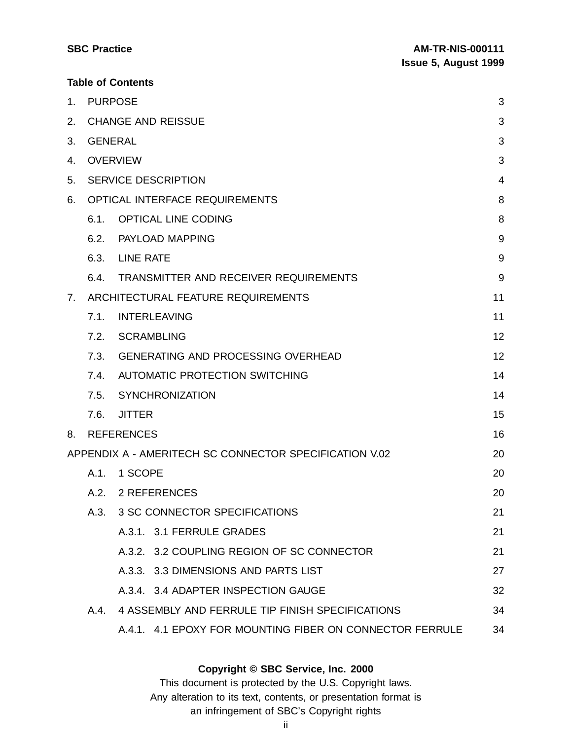| <b>SBC Practice</b>      | <b>AM-TR-NIS-000111</b>     |  |
|--------------------------|-----------------------------|--|
|                          | <b>Issue 5, August 1999</b> |  |
| <b>Table of Contents</b> |                             |  |

| 1. | <b>PURPOSE</b> |                                                          | 3     |
|----|----------------|----------------------------------------------------------|-------|
| 2. |                | <b>CHANGE AND REISSUE</b>                                | 3     |
| 3. | <b>GENERAL</b> |                                                          | 3     |
| 4. |                | <b>OVERVIEW</b>                                          | 3     |
| 5. |                | <b>SERVICE DESCRIPTION</b>                               | 4     |
| 6. |                | OPTICAL INTERFACE REQUIREMENTS                           | 8     |
|    | 6.1.           | <b>OPTICAL LINE CODING</b>                               | 8     |
|    | 6.2.           | PAYLOAD MAPPING                                          | 9     |
|    | 6.3.           | <b>LINE RATE</b>                                         | $9\,$ |
|    | 6.4.           | TRANSMITTER AND RECEIVER REQUIREMENTS                    | 9     |
| 7. |                | ARCHITECTURAL FEATURE REQUIREMENTS                       | 11    |
|    | 7.1.           | <b>INTERLEAVING</b>                                      | 11    |
|    | 7.2.           | <b>SCRAMBLING</b>                                        | 12    |
|    | 7.3.           | <b>GENERATING AND PROCESSING OVERHEAD</b>                | 12    |
|    |                | 7.4. AUTOMATIC PROTECTION SWITCHING                      | 14    |
|    | 7.5.           | <b>SYNCHRONIZATION</b>                                   | 14    |
|    | 7.6.           | <b>JITTER</b>                                            | 15    |
| 8. |                | <b>REFERENCES</b>                                        | 16    |
|    |                | APPENDIX A - AMERITECH SC CONNECTOR SPECIFICATION V.02   | 20    |
|    | A.1.           | 1 SCOPE                                                  | 20    |
|    | A.2.           | 2 REFERENCES                                             | 20    |
|    | A.3.           | 3 SC CONNECTOR SPECIFICATIONS                            | 21    |
|    |                | A.3.1. 3.1 FERRULE GRADES                                | 21    |
|    |                | A.3.2. 3.2 COUPLING REGION OF SC CONNECTOR               | 21    |
|    |                | A.3.3. 3.3 DIMENSIONS AND PARTS LIST                     | 27    |
|    |                | A.3.4. 3.4 ADAPTER INSPECTION GAUGE                      | 32    |
|    | A.4.           | 4 ASSEMBLY AND FERRULE TIP FINISH SPECIFICATIONS         | 34    |
|    |                | A.4.1. 4.1 EPOXY FOR MOUNTING FIBER ON CONNECTOR FERRULE | 34    |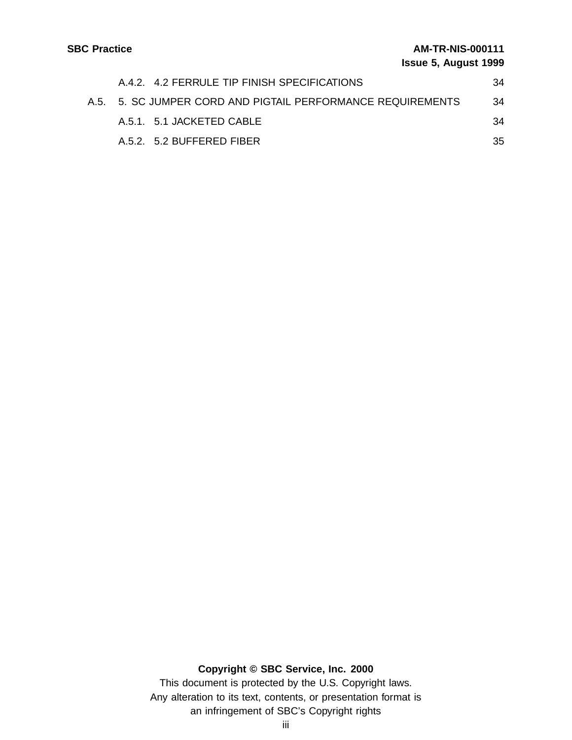| A.4.2. 4.2 FERRULE TIP FINISH SPECIFICATIONS                | 34 |
|-------------------------------------------------------------|----|
| A.5. 5. SC JUMPER CORD AND PIGTAIL PERFORMANCE REQUIREMENTS | 34 |
| A.5.1 5.1 JACKETED CABLE                                    | 34 |
| A.5.2. 5.2 BUFFERED FIBER                                   | 35 |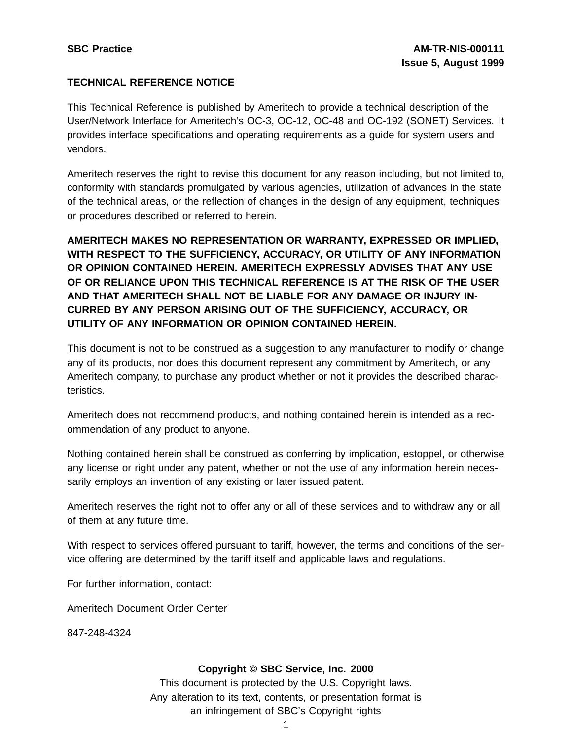## **TECHNICAL REFERENCE NOTICE**

This Technical Reference is published by Ameritech to provide a technical description of the User/Network Interface for Ameritech's OC-3, OC-12, OC-48 and OC-192 (SONET) Services. It provides interface specifications and operating requirements as a guide for system users and vendors.

Ameritech reserves the right to revise this document for any reason including, but not limited to, conformity with standards promulgated by various agencies, utilization of advances in the state of the technical areas, or the reflection of changes in the design of any equipment, techniques or procedures described or referred to herein.

**AMERITECH MAKES NO REPRESENTATION OR WARRANTY, EXPRESSED OR IMPLIED, WITH RESPECT TO THE SUFFICIENCY, ACCURACY, OR UTILITY OF ANY INFORMATION OR OPINION CONTAINED HEREIN. AMERITECH EXPRESSLY ADVISES THAT ANY USE OF OR RELIANCE UPON THIS TECHNICAL REFERENCE IS AT THE RISK OF THE USER AND THAT AMERITECH SHALL NOT BE LIABLE FOR ANY DAMAGE OR INJURY IN-CURRED BY ANY PERSON ARISING OUT OF THE SUFFICIENCY, ACCURACY, OR UTILITY OF ANY INFORMATION OR OPINION CONTAINED HEREIN.**

This document is not to be construed as a suggestion to any manufacturer to modify or change any of its products, nor does this document represent any commitment by Ameritech, or any Ameritech company, to purchase any product whether or not it provides the described characteristics.

Ameritech does not recommend products, and nothing contained herein is intended as a recommendation of any product to anyone.

Nothing contained herein shall be construed as conferring by implication, estoppel, or otherwise any license or right under any patent, whether or not the use of any information herein necessarily employs an invention of any existing or later issued patent.

Ameritech reserves the right not to offer any or all of these services and to withdraw any or all of them at any future time.

With respect to services offered pursuant to tariff, however, the terms and conditions of the service offering are determined by the tariff itself and applicable laws and regulations.

For further information, contact:

Ameritech Document Order Center

847-248-4324

## **Copyright © SBC Service, Inc. 2000**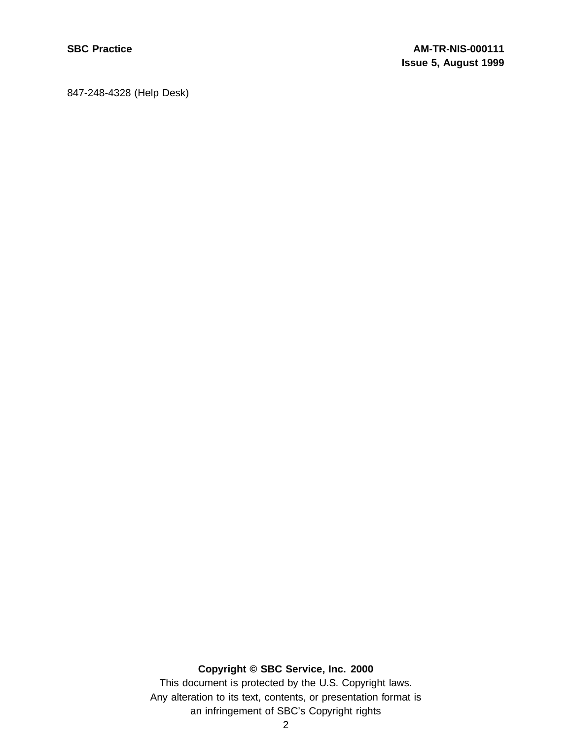847-248-4328 (Help Desk)

## **Copyright © SBC Service, Inc. 2000**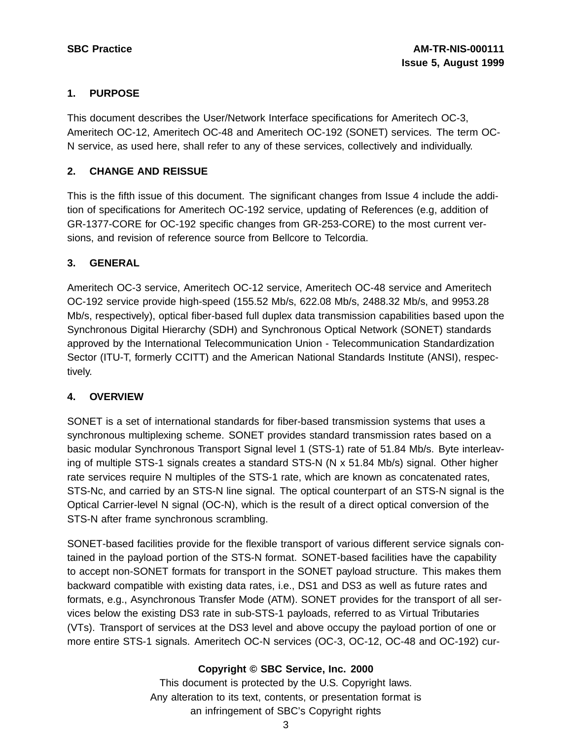## **1. PURPOSE**

This document describes the User/Network Interface specifications for Ameritech OC-3, Ameritech OC-12, Ameritech OC-48 and Ameritech OC-192 (SONET) services. The term OC-N service, as used here, shall refer to any of these services, collectively and individually.

## **2. CHANGE AND REISSUE**

This is the fifth issue of this document. The significant changes from Issue 4 include the addition of specifications for Ameritech OC-192 service, updating of References (e.g, addition of GR-1377-CORE for OC-192 specific changes from GR-253-CORE) to the most current versions, and revision of reference source from Bellcore to Telcordia.

## **3. GENERAL**

Ameritech OC-3 service, Ameritech OC-12 service, Ameritech OC-48 service and Ameritech OC-192 service provide high-speed (155.52 Mb/s, 622.08 Mb/s, 2488.32 Mb/s, and 9953.28 Mb/s, respectively), optical fiber-based full duplex data transmission capabilities based upon the Synchronous Digital Hierarchy (SDH) and Synchronous Optical Network (SONET) standards approved by the International Telecommunication Union - Telecommunication Standardization Sector (ITU-T, formerly CCITT) and the American National Standards Institute (ANSI), respectively.

## **4. OVERVIEW**

SONET is a set of international standards for fiber-based transmission systems that uses a synchronous multiplexing scheme. SONET provides standard transmission rates based on a basic modular Synchronous Transport Signal level 1 (STS-1) rate of 51.84 Mb/s. Byte interleaving of multiple STS-1 signals creates a standard STS-N (N x 51.84 Mb/s) signal. Other higher rate services require N multiples of the STS-1 rate, which are known as concatenated rates, STS-Nc, and carried by an STS-N line signal. The optical counterpart of an STS-N signal is the Optical Carrier-level N signal (OC-N), which is the result of a direct optical conversion of the STS-N after frame synchronous scrambling.

SONET-based facilities provide for the flexible transport of various different service signals contained in the payload portion of the STS-N format. SONET-based facilities have the capability to accept non-SONET formats for transport in the SONET payload structure. This makes them backward compatible with existing data rates, i.e., DS1 and DS3 as well as future rates and formats, e.g., Asynchronous Transfer Mode (ATM). SONET provides for the transport of all services below the existing DS3 rate in sub-STS-1 payloads, referred to as Virtual Tributaries (VTs). Transport of services at the DS3 level and above occupy the payload portion of one or more entire STS-1 signals. Ameritech OC-N services (OC-3, OC-12, OC-48 and OC-192) cur-

## **Copyright © SBC Service, Inc. 2000**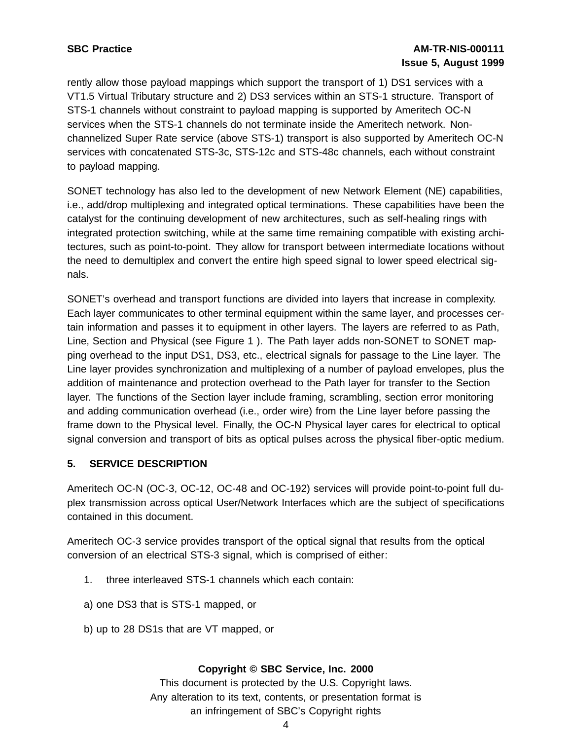## **SBC Practice AM-TR-NIS-000111 Issue 5, August 1999**

rently allow those payload mappings which support the transport of 1) DS1 services with a VT1.5 Virtual Tributary structure and 2) DS3 services within an STS-1 structure. Transport of STS-1 channels without constraint to payload mapping is supported by Ameritech OC-N services when the STS-1 channels do not terminate inside the Ameritech network. Nonchannelized Super Rate service (above STS-1) transport is also supported by Ameritech OC-N services with concatenated STS-3c, STS-12c and STS-48c channels, each without constraint to payload mapping.

SONET technology has also led to the development of new Network Element (NE) capabilities, i.e., add/drop multiplexing and integrated optical terminations. These capabilities have been the catalyst for the continuing development of new architectures, such as self-healing rings with integrated protection switching, while at the same time remaining compatible with existing architectures, such as point-to-point. They allow for transport between intermediate locations without the need to demultiplex and convert the entire high speed signal to lower speed electrical signals.

SONET's overhead and transport functions are divided into layers that increase in complexity. Each layer communicates to other terminal equipment within the same layer, and processes certain information and passes it to equipment in other layers. The layers are referred to as Path, Line, Section and Physical (see Figure 1 ). The Path layer adds non-SONET to SONET mapping overhead to the input DS1, DS3, etc., electrical signals for passage to the Line layer. The Line layer provides synchronization and multiplexing of a number of payload envelopes, plus the addition of maintenance and protection overhead to the Path layer for transfer to the Section layer. The functions of the Section layer include framing, scrambling, section error monitoring and adding communication overhead (i.e., order wire) from the Line layer before passing the frame down to the Physical level. Finally, the OC-N Physical layer cares for electrical to optical signal conversion and transport of bits as optical pulses across the physical fiber-optic medium.

## **5. SERVICE DESCRIPTION**

Ameritech OC-N (OC-3, OC-12, OC-48 and OC-192) services will provide point-to-point full duplex transmission across optical User/Network Interfaces which are the subject of specifications contained in this document.

Ameritech OC-3 service provides transport of the optical signal that results from the optical conversion of an electrical STS-3 signal, which is comprised of either:

- 1. three interleaved STS-1 channels which each contain:
- a) one DS3 that is STS-1 mapped, or
- b) up to 28 DS1s that are VT mapped, or

## **Copyright © SBC Service, Inc. 2000**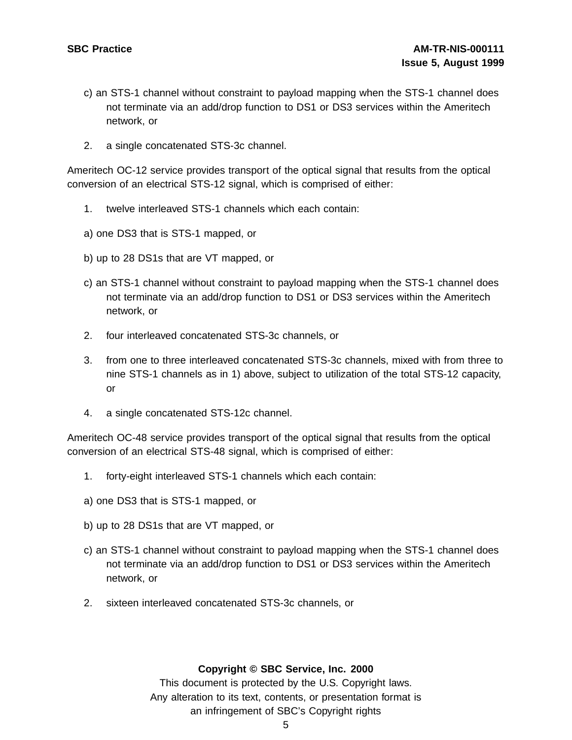- c) an STS-1 channel without constraint to payload mapping when the STS-1 channel does not terminate via an add/drop function to DS1 or DS3 services within the Ameritech network, or
- 2. a single concatenated STS-3c channel.

Ameritech OC-12 service provides transport of the optical signal that results from the optical conversion of an electrical STS-12 signal, which is comprised of either:

- 1. twelve interleaved STS-1 channels which each contain:
- a) one DS3 that is STS-1 mapped, or
- b) up to 28 DS1s that are VT mapped, or
- c) an STS-1 channel without constraint to payload mapping when the STS-1 channel does not terminate via an add/drop function to DS1 or DS3 services within the Ameritech network, or
- 2. four interleaved concatenated STS-3c channels, or
- 3. from one to three interleaved concatenated STS-3c channels, mixed with from three to nine STS-1 channels as in 1) above, subject to utilization of the total STS-12 capacity, or
- 4. a single concatenated STS-12c channel.

Ameritech OC-48 service provides transport of the optical signal that results from the optical conversion of an electrical STS-48 signal, which is comprised of either:

- 1. forty-eight interleaved STS-1 channels which each contain:
- a) one DS3 that is STS-1 mapped, or
- b) up to 28 DS1s that are VT mapped, or
- c) an STS-1 channel without constraint to payload mapping when the STS-1 channel does not terminate via an add/drop function to DS1 or DS3 services within the Ameritech network, or
- 2. sixteen interleaved concatenated STS-3c channels, or

#### **Copyright © SBC Service, Inc. 2000**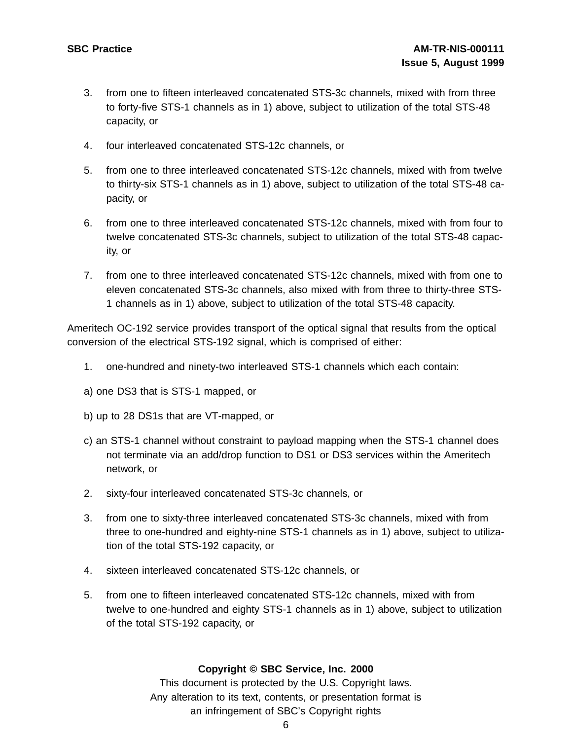- 3. from one to fifteen interleaved concatenated STS-3c channels, mixed with from three to forty-five STS-1 channels as in 1) above, subject to utilization of the total STS-48 capacity, or
- 4. four interleaved concatenated STS-12c channels, or
- 5. from one to three interleaved concatenated STS-12c channels, mixed with from twelve to thirty-six STS-1 channels as in 1) above, subject to utilization of the total STS-48 capacity, or
- 6. from one to three interleaved concatenated STS-12c channels, mixed with from four to twelve concatenated STS-3c channels, subject to utilization of the total STS-48 capacity, or
- 7. from one to three interleaved concatenated STS-12c channels, mixed with from one to eleven concatenated STS-3c channels, also mixed with from three to thirty-three STS-1 channels as in 1) above, subject to utilization of the total STS-48 capacity.

Ameritech OC-192 service provides transport of the optical signal that results from the optical conversion of the electrical STS-192 signal, which is comprised of either:

- 1. one-hundred and ninety-two interleaved STS-1 channels which each contain:
- a) one DS3 that is STS-1 mapped, or
- b) up to 28 DS1s that are VT-mapped, or
- c) an STS-1 channel without constraint to payload mapping when the STS-1 channel does not terminate via an add/drop function to DS1 or DS3 services within the Ameritech network, or
- 2. sixty-four interleaved concatenated STS-3c channels, or
- 3. from one to sixty-three interleaved concatenated STS-3c channels, mixed with from three to one-hundred and eighty-nine STS-1 channels as in 1) above, subject to utilization of the total STS-192 capacity, or
- 4. sixteen interleaved concatenated STS-12c channels, or
- 5. from one to fifteen interleaved concatenated STS-12c channels, mixed with from twelve to one-hundred and eighty STS-1 channels as in 1) above, subject to utilization of the total STS-192 capacity, or

#### **Copyright © SBC Service, Inc. 2000**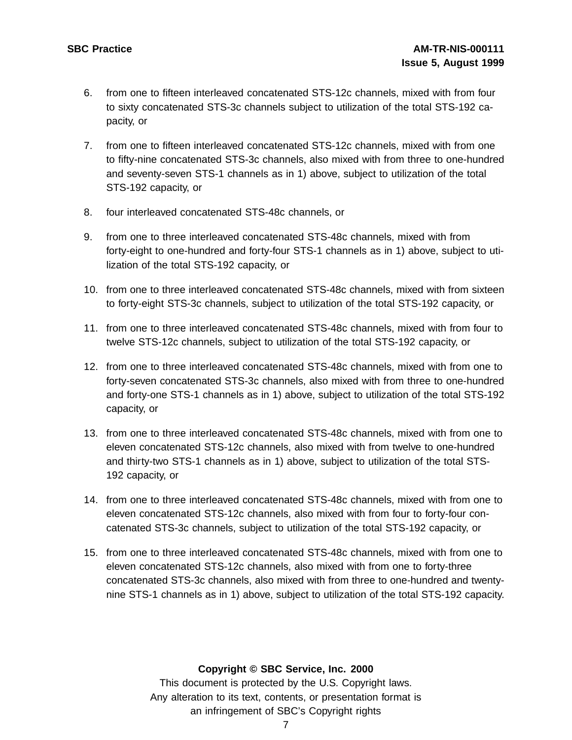- 6. from one to fifteen interleaved concatenated STS-12c channels, mixed with from four to sixty concatenated STS-3c channels subject to utilization of the total STS-192 capacity, or
- 7. from one to fifteen interleaved concatenated STS-12c channels, mixed with from one to fifty-nine concatenated STS-3c channels, also mixed with from three to one-hundred and seventy-seven STS-1 channels as in 1) above, subject to utilization of the total STS-192 capacity, or
- 8. four interleaved concatenated STS-48c channels, or
- 9. from one to three interleaved concatenated STS-48c channels, mixed with from forty-eight to one-hundred and forty-four STS-1 channels as in 1) above, subject to utilization of the total STS-192 capacity, or
- 10. from one to three interleaved concatenated STS-48c channels, mixed with from sixteen to forty-eight STS-3c channels, subject to utilization of the total STS-192 capacity, or
- 11. from one to three interleaved concatenated STS-48c channels, mixed with from four to twelve STS-12c channels, subject to utilization of the total STS-192 capacity, or
- 12. from one to three interleaved concatenated STS-48c channels, mixed with from one to forty-seven concatenated STS-3c channels, also mixed with from three to one-hundred and forty-one STS-1 channels as in 1) above, subject to utilization of the total STS-192 capacity, or
- 13. from one to three interleaved concatenated STS-48c channels, mixed with from one to eleven concatenated STS-12c channels, also mixed with from twelve to one-hundred and thirty-two STS-1 channels as in 1) above, subject to utilization of the total STS-192 capacity, or
- 14. from one to three interleaved concatenated STS-48c channels, mixed with from one to eleven concatenated STS-12c channels, also mixed with from four to forty-four concatenated STS-3c channels, subject to utilization of the total STS-192 capacity, or
- 15. from one to three interleaved concatenated STS-48c channels, mixed with from one to eleven concatenated STS-12c channels, also mixed with from one to forty-three concatenated STS-3c channels, also mixed with from three to one-hundred and twentynine STS-1 channels as in 1) above, subject to utilization of the total STS-192 capacity.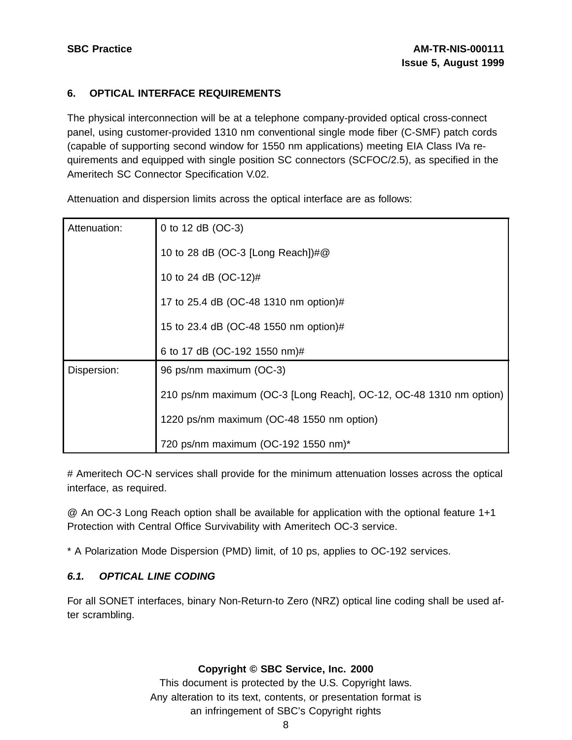## **6. OPTICAL INTERFACE REQUIREMENTS**

The physical interconnection will be at a telephone company-provided optical cross-connect panel, using customer-provided 1310 nm conventional single mode fiber (C-SMF) patch cords (capable of supporting second window for 1550 nm applications) meeting EIA Class IVa requirements and equipped with single position SC connectors (SCFOC/2.5), as specified in the Ameritech SC Connector Specification V.02.

| Attenuation: | 0 to 12 dB (OC-3)                                                  |  |  |  |
|--------------|--------------------------------------------------------------------|--|--|--|
|              | 10 to 28 dB (OC-3 [Long Reach])#@                                  |  |  |  |
|              | 10 to 24 dB (OC-12)#                                               |  |  |  |
|              | 17 to 25.4 dB (OC-48 1310 nm option)#                              |  |  |  |
|              | 15 to 23.4 dB (OC-48 1550 nm option)#                              |  |  |  |
|              | 6 to 17 dB (OC-192 1550 nm)#                                       |  |  |  |
| Dispersion:  | 96 ps/nm maximum (OC-3)                                            |  |  |  |
|              | 210 ps/nm maximum (OC-3 [Long Reach], OC-12, OC-48 1310 nm option) |  |  |  |
|              | 1220 ps/nm maximum (OC-48 1550 nm option)                          |  |  |  |
|              | 720 ps/nm maximum (OC-192 1550 nm)*                                |  |  |  |

Attenuation and dispersion limits across the optical interface are as follows:

# Ameritech OC-N services shall provide for the minimum attenuation losses across the optical interface, as required.

@ An OC-3 Long Reach option shall be available for application with the optional feature 1+1 Protection with Central Office Survivability with Ameritech OC-3 service.

\* A Polarization Mode Dispersion (PMD) limit, of 10 ps, applies to OC-192 services.

## **6.1. OPTICAL LINE CODING**

For all SONET interfaces, binary Non-Return-to Zero (NRZ) optical line coding shall be used after scrambling.

## **Copyright © SBC Service, Inc. 2000**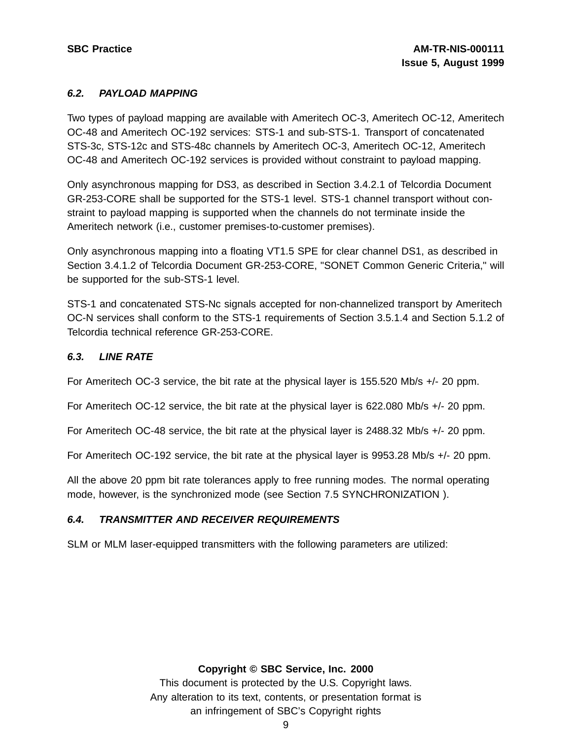## **6.2. PAYLOAD MAPPING**

Two types of payload mapping are available with Ameritech OC-3, Ameritech OC-12, Ameritech OC-48 and Ameritech OC-192 services: STS-1 and sub-STS-1. Transport of concatenated STS-3c, STS-12c and STS-48c channels by Ameritech OC-3, Ameritech OC-12, Ameritech OC-48 and Ameritech OC-192 services is provided without constraint to payload mapping.

Only asynchronous mapping for DS3, as described in Section 3.4.2.1 of Telcordia Document GR-253-CORE shall be supported for the STS-1 level. STS-1 channel transport without constraint to payload mapping is supported when the channels do not terminate inside the Ameritech network (i.e., customer premises-to-customer premises).

Only asynchronous mapping into a floating VT1.5 SPE for clear channel DS1, as described in Section 3.4.1.2 of Telcordia Document GR-253-CORE, "SONET Common Generic Criteria," will be supported for the sub-STS-1 level.

STS-1 and concatenated STS-Nc signals accepted for non-channelized transport by Ameritech OC-N services shall conform to the STS-1 requirements of Section 3.5.1.4 and Section 5.1.2 of Telcordia technical reference GR-253-CORE.

## **6.3. LINE RATE**

For Ameritech OC-3 service, the bit rate at the physical layer is 155.520 Mb/s +/- 20 ppm.

For Ameritech OC-12 service, the bit rate at the physical layer is 622.080 Mb/s +/- 20 ppm.

For Ameritech OC-48 service, the bit rate at the physical layer is 2488.32 Mb/s +/- 20 ppm.

For Ameritech OC-192 service, the bit rate at the physical layer is 9953.28 Mb/s +/- 20 ppm.

All the above 20 ppm bit rate tolerances apply to free running modes. The normal operating mode, however, is the synchronized mode (see Section 7.5 SYNCHRONIZATION ).

## **6.4. TRANSMITTER AND RECEIVER REQUIREMENTS**

SLM or MLM laser-equipped transmitters with the following parameters are utilized:

#### **Copyright © SBC Service, Inc. 2000**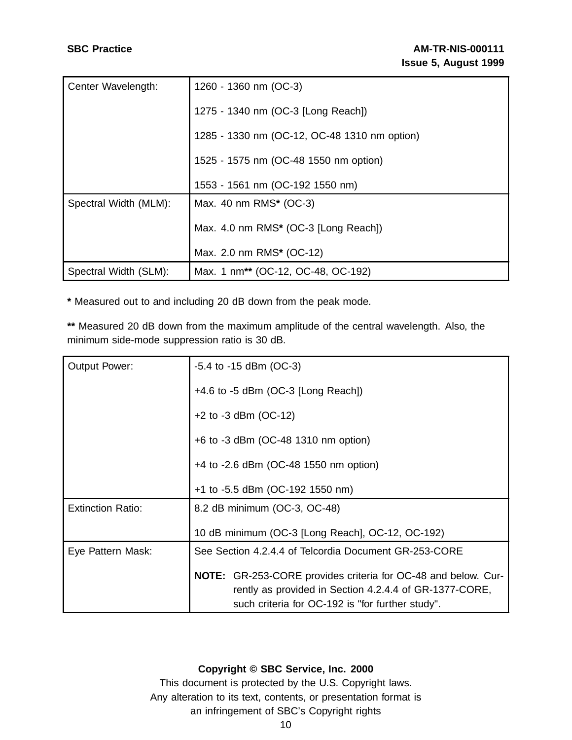| Center Wavelength:    | 1260 - 1360 nm (OC-3)                          |  |
|-----------------------|------------------------------------------------|--|
|                       | 1275 - 1340 nm (OC-3 [Long Reach])             |  |
|                       | 1285 - 1330 nm (OC-12, OC-48 1310 nm option)   |  |
|                       | 1525 - 1575 nm (OC-48 1550 nm option)          |  |
|                       | 1553 - 1561 nm (OC-192 1550 nm)                |  |
| Spectral Width (MLM): | Max. 40 nm RMS* (OC-3)                         |  |
|                       | Max. 4.0 nm RMS* (OC-3 [Long Reach])           |  |
|                       | Max. 2.0 nm RMS* (OC-12)                       |  |
| Spectral Width (SLM): | Max. 1 nm <sup>**</sup> (OC-12, OC-48, OC-192) |  |

**\*** Measured out to and including 20 dB down from the peak mode.

**\*\*** Measured 20 dB down from the maximum amplitude of the central wavelength. Also, the minimum side-mode suppression ratio is 30 dB.

| <b>Output Power:</b>     | $-5.4$ to $-15$ dBm (OC-3)                                                                                                     |  |  |
|--------------------------|--------------------------------------------------------------------------------------------------------------------------------|--|--|
|                          | $+4.6$ to $-5$ dBm (OC-3 [Long Reach])                                                                                         |  |  |
|                          | $+2$ to -3 dBm (OC-12)                                                                                                         |  |  |
|                          | +6 to -3 dBm (OC-48 1310 nm option)                                                                                            |  |  |
|                          | +4 to -2.6 dBm (OC-48 1550 nm option)                                                                                          |  |  |
|                          | +1 to -5.5 dBm (OC-192 1550 nm)                                                                                                |  |  |
| <b>Extinction Ratio:</b> | 8.2 dB minimum (OC-3, OC-48)                                                                                                   |  |  |
|                          | 10 dB minimum (OC-3 [Long Reach], OC-12, OC-192)                                                                               |  |  |
| Eye Pattern Mask:        | See Section 4.2.4.4 of Telcordia Document GR-253-CORE                                                                          |  |  |
|                          | <b>NOTE:</b> GR-253-CORE provides criteria for OC-48 and below. Cur-<br>rently as provided in Section 4.2.4.4 of GR-1377-CORE, |  |  |
|                          | such criteria for OC-192 is "for further study".                                                                               |  |  |

## **Copyright © SBC Service, Inc. 2000**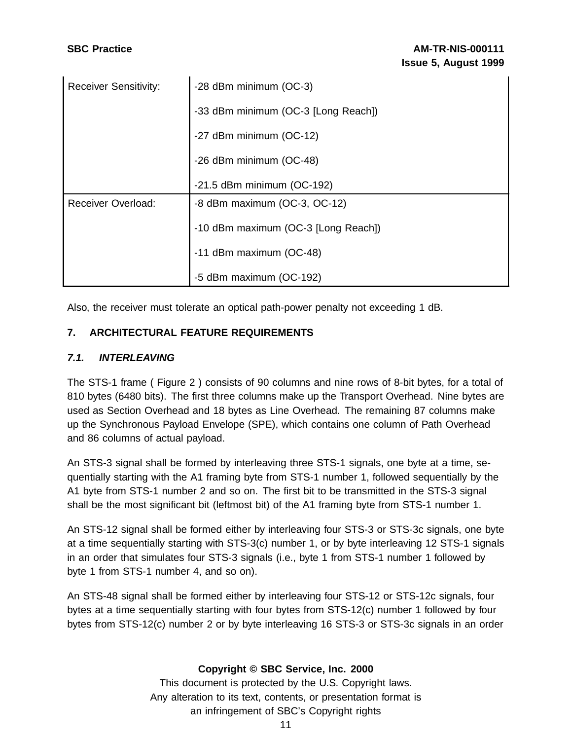| <b>Receiver Sensitivity:</b> | -28 dBm minimum (OC-3)                 |  |
|------------------------------|----------------------------------------|--|
|                              | -33 dBm minimum (OC-3 [Long Reach])    |  |
|                              | -27 dBm minimum (OC-12)                |  |
|                              | -26 dBm minimum (OC-48)                |  |
|                              | $-21.5$ dBm minimum (OC-192)           |  |
| <b>Receiver Overload:</b>    | $-8$ dBm maximum (OC $-3$ , OC $-12$ ) |  |
|                              | -10 dBm maximum (OC-3 [Long Reach])    |  |
|                              | -11 dBm maximum (OC-48)                |  |
|                              | -5 dBm maximum (OC-192)                |  |

Also, the receiver must tolerate an optical path-power penalty not exceeding 1 dB.

## **7. ARCHITECTURAL FEATURE REQUIREMENTS**

## **7.1. INTERLEAVING**

The STS-1 frame ( Figure 2 ) consists of 90 columns and nine rows of 8-bit bytes, for a total of 810 bytes (6480 bits). The first three columns make up the Transport Overhead. Nine bytes are used as Section Overhead and 18 bytes as Line Overhead. The remaining 87 columns make up the Synchronous Payload Envelope (SPE), which contains one column of Path Overhead and 86 columns of actual payload.

An STS-3 signal shall be formed by interleaving three STS-1 signals, one byte at a time, sequentially starting with the A1 framing byte from STS-1 number 1, followed sequentially by the A1 byte from STS-1 number 2 and so on. The first bit to be transmitted in the STS-3 signal shall be the most significant bit (leftmost bit) of the A1 framing byte from STS-1 number 1.

An STS-12 signal shall be formed either by interleaving four STS-3 or STS-3c signals, one byte at a time sequentially starting with STS-3(c) number 1, or by byte interleaving 12 STS-1 signals in an order that simulates four STS-3 signals (i.e., byte 1 from STS-1 number 1 followed by byte 1 from STS-1 number 4, and so on).

An STS-48 signal shall be formed either by interleaving four STS-12 or STS-12c signals, four bytes at a time sequentially starting with four bytes from STS-12(c) number 1 followed by four bytes from STS-12(c) number 2 or by byte interleaving 16 STS-3 or STS-3c signals in an order

## **Copyright © SBC Service, Inc. 2000**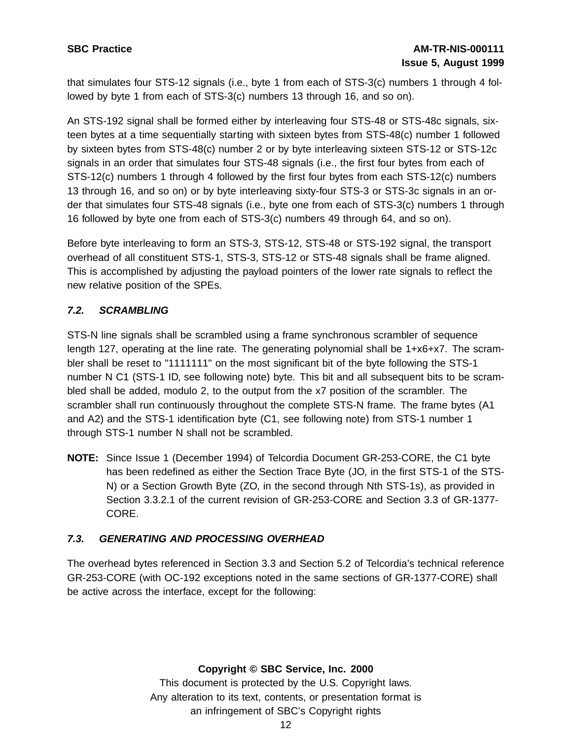that simulates four STS-12 signals (i.e., byte 1 from each of STS-3(c) numbers 1 through 4 followed by byte 1 from each of STS-3(c) numbers 13 through 16, and so on).

An STS-192 signal shall be formed either by interleaving four STS-48 or STS-48c signals, sixteen bytes at a time sequentially starting with sixteen bytes from STS-48(c) number 1 followed by sixteen bytes from STS-48(c) number 2 or by byte interleaving sixteen STS-12 or STS-12c signals in an order that simulates four STS-48 signals (i.e., the first four bytes from each of STS-12(c) numbers 1 through 4 followed by the first four bytes from each STS-12(c) numbers 13 through 16, and so on) or by byte interleaving sixty-four STS-3 or STS-3c signals in an order that simulates four STS-48 signals (i.e., byte one from each of STS-3(c) numbers 1 through 16 followed by byte one from each of STS-3(c) numbers 49 through 64, and so on).

Before byte interleaving to form an STS-3, STS-12, STS-48 or STS-192 signal, the transport overhead of all constituent STS-1, STS-3, STS-12 or STS-48 signals shall be frame aligned. This is accomplished by adjusting the payload pointers of the lower rate signals to reflect the new relative position of the SPEs.

## **7.2. SCRAMBLING**

STS-N line signals shall be scrambled using a frame synchronous scrambler of sequence length 127, operating at the line rate. The generating polynomial shall be 1+x6+x7. The scrambler shall be reset to "1111111" on the most significant bit of the byte following the STS-1 number N C1 (STS-1 ID, see following note) byte. This bit and all subsequent bits to be scrambled shall be added, modulo 2, to the output from the x7 position of the scrambler. The scrambler shall run continuously throughout the complete STS-N frame. The frame bytes (A1 and A2) and the STS-1 identification byte (C1, see following note) from STS-1 number 1 through STS-1 number N shall not be scrambled.

**NOTE:** Since Issue 1 (December 1994) of Telcordia Document GR-253-CORE, the C1 byte has been redefined as either the Section Trace Byte (JO, in the first STS-1 of the STS-N) or a Section Growth Byte (ZO, in the second through Nth STS-1s), as provided in Section 3.3.2.1 of the current revision of GR-253-CORE and Section 3.3 of GR-1377- CORE.

## **7.3. GENERATING AND PROCESSING OVERHEAD**

The overhead bytes referenced in Section 3.3 and Section 5.2 of Telcordia's technical reference GR-253-CORE (with OC-192 exceptions noted in the same sections of GR-1377-CORE) shall be active across the interface, except for the following: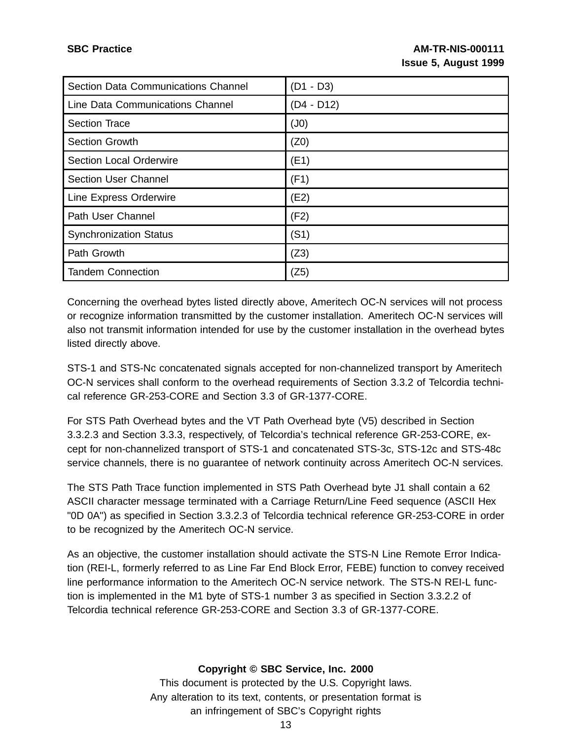| Section Data Communications Channel | $(D1 - D3)$  |
|-------------------------------------|--------------|
| Line Data Communications Channel    | $(D4 - D12)$ |
| <b>Section Trace</b>                | (J0)         |
| <b>Section Growth</b>               | (Z0)         |
| <b>Section Local Orderwire</b>      | (E1)         |
| <b>Section User Channel</b>         | (F1)         |
| Line Express Orderwire              | (E2)         |
| Path User Channel                   | (F2)         |
| <b>Synchronization Status</b>       | (S1)         |
| Path Growth                         | (Z3)         |
| <b>Tandem Connection</b>            | (Z5)         |

Concerning the overhead bytes listed directly above, Ameritech OC-N services will not process or recognize information transmitted by the customer installation. Ameritech OC-N services will also not transmit information intended for use by the customer installation in the overhead bytes listed directly above.

STS-1 and STS-Nc concatenated signals accepted for non-channelized transport by Ameritech OC-N services shall conform to the overhead requirements of Section 3.3.2 of Telcordia technical reference GR-253-CORE and Section 3.3 of GR-1377-CORE.

For STS Path Overhead bytes and the VT Path Overhead byte (V5) described in Section 3.3.2.3 and Section 3.3.3, respectively, of Telcordia's technical reference GR-253-CORE, except for non-channelized transport of STS-1 and concatenated STS-3c, STS-12c and STS-48c service channels, there is no guarantee of network continuity across Ameritech OC-N services.

The STS Path Trace function implemented in STS Path Overhead byte J1 shall contain a 62 ASCII character message terminated with a Carriage Return/Line Feed sequence (ASCII Hex "0D 0A") as specified in Section 3.3.2.3 of Telcordia technical reference GR-253-CORE in order to be recognized by the Ameritech OC-N service.

As an objective, the customer installation should activate the STS-N Line Remote Error Indication (REI-L, formerly referred to as Line Far End Block Error, FEBE) function to convey received line performance information to the Ameritech OC-N service network. The STS-N REI-L function is implemented in the M1 byte of STS-1 number 3 as specified in Section 3.3.2.2 of Telcordia technical reference GR-253-CORE and Section 3.3 of GR-1377-CORE.

## **Copyright © SBC Service, Inc. 2000**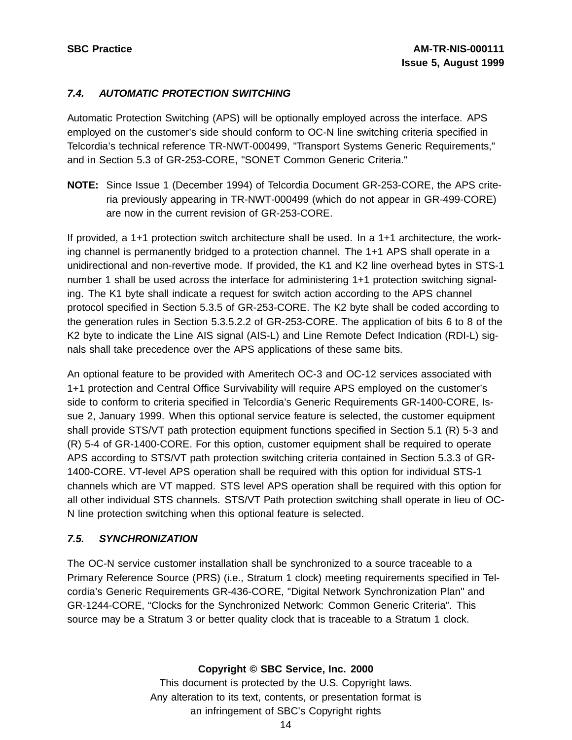## **7.4. AUTOMATIC PROTECTION SWITCHING**

Automatic Protection Switching (APS) will be optionally employed across the interface. APS employed on the customer's side should conform to OC-N line switching criteria specified in Telcordia's technical reference TR-NWT-000499, "Transport Systems Generic Requirements," and in Section 5.3 of GR-253-CORE, "SONET Common Generic Criteria."

**NOTE:** Since Issue 1 (December 1994) of Telcordia Document GR-253-CORE, the APS criteria previously appearing in TR-NWT-000499 (which do not appear in GR-499-CORE) are now in the current revision of GR-253-CORE.

If provided, a 1+1 protection switch architecture shall be used. In a 1+1 architecture, the working channel is permanently bridged to a protection channel. The 1+1 APS shall operate in a unidirectional and non-revertive mode. If provided, the K1 and K2 line overhead bytes in STS-1 number 1 shall be used across the interface for administering 1+1 protection switching signaling. The K1 byte shall indicate a request for switch action according to the APS channel protocol specified in Section 5.3.5 of GR-253-CORE. The K2 byte shall be coded according to the generation rules in Section 5.3.5.2.2 of GR-253-CORE. The application of bits 6 to 8 of the K2 byte to indicate the Line AIS signal (AIS-L) and Line Remote Defect Indication (RDI-L) signals shall take precedence over the APS applications of these same bits.

An optional feature to be provided with Ameritech OC-3 and OC-12 services associated with 1+1 protection and Central Office Survivability will require APS employed on the customer's side to conform to criteria specified in Telcordia's Generic Requirements GR-1400-CORE, Issue 2, January 1999. When this optional service feature is selected, the customer equipment shall provide STS/VT path protection equipment functions specified in Section 5.1 (R) 5-3 and (R) 5-4 of GR-1400-CORE. For this option, customer equipment shall be required to operate APS according to STS/VT path protection switching criteria contained in Section 5.3.3 of GR-1400-CORE. VT-level APS operation shall be required with this option for individual STS-1 channels which are VT mapped. STS level APS operation shall be required with this option for all other individual STS channels. STS/VT Path protection switching shall operate in lieu of OC-N line protection switching when this optional feature is selected.

## **7.5. SYNCHRONIZATION**

The OC-N service customer installation shall be synchronized to a source traceable to a Primary Reference Source (PRS) (i.e., Stratum 1 clock) meeting requirements specified in Telcordia's Generic Requirements GR-436-CORE, "Digital Network Synchronization Plan" and GR-1244-CORE, "Clocks for the Synchronized Network: Common Generic Criteria". This source may be a Stratum 3 or better quality clock that is traceable to a Stratum 1 clock.

**Copyright © SBC Service, Inc. 2000**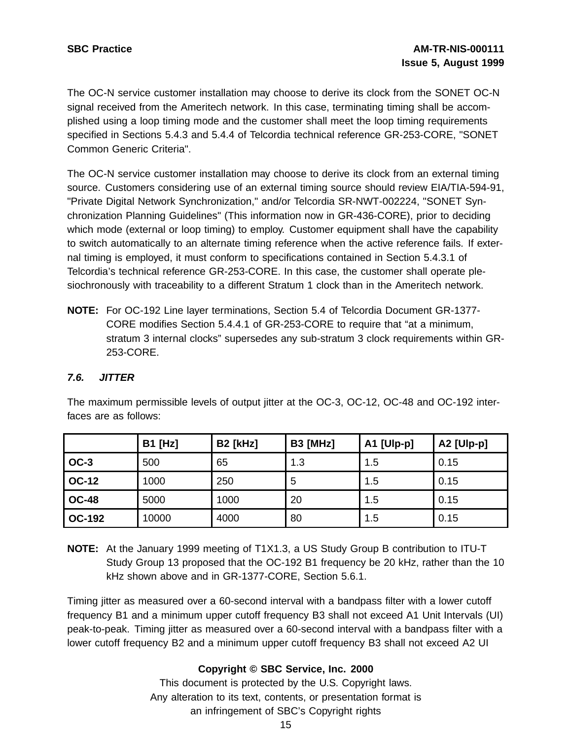The OC-N service customer installation may choose to derive its clock from the SONET OC-N signal received from the Ameritech network. In this case, terminating timing shall be accomplished using a loop timing mode and the customer shall meet the loop timing requirements specified in Sections 5.4.3 and 5.4.4 of Telcordia technical reference GR-253-CORE, "SONET Common Generic Criteria".

The OC-N service customer installation may choose to derive its clock from an external timing source. Customers considering use of an external timing source should review EIA/TIA-594-91, "Private Digital Network Synchronization," and/or Telcordia SR-NWT-002224, "SONET Synchronization Planning Guidelines" (This information now in GR-436-CORE), prior to deciding which mode (external or loop timing) to employ. Customer equipment shall have the capability to switch automatically to an alternate timing reference when the active reference fails. If external timing is employed, it must conform to specifications contained in Section 5.4.3.1 of Telcordia's technical reference GR-253-CORE. In this case, the customer shall operate plesiochronously with traceability to a different Stratum 1 clock than in the Ameritech network.

**NOTE:** For OC-192 Line layer terminations, Section 5.4 of Telcordia Document GR-1377- CORE modifies Section 5.4.4.1 of GR-253-CORE to require that "at a minimum, stratum 3 internal clocks" supersedes any sub-stratum 3 clock requirements within GR-253-CORE.

## **7.6. JITTER**

The maximum permissible levels of output jitter at the OC-3, OC-12, OC-48 and OC-192 interfaces are as follows:

|               | <b>B1 [Hz]</b> | <b>B2 [kHz]</b> | <b>B3 [MHz]</b> | A1 [Ulp-p] | A2 [Ulp-p] |
|---------------|----------------|-----------------|-----------------|------------|------------|
| $OC-3$        | 500            | 65              | 1.3             | 1.5        | 0.15       |
| <b>OC-12</b>  | 1000           | 250             | 5               | 1.5        | 0.15       |
| <b>OC-48</b>  | 5000           | 1000            | 20              | 1.5        | 0.15       |
| <b>OC-192</b> | 10000          | 4000            | 80              | 1.5        | 0.15       |

**NOTE:** At the January 1999 meeting of T1X1.3, a US Study Group B contribution to ITU-T Study Group 13 proposed that the OC-192 B1 frequency be 20 kHz, rather than the 10 kHz shown above and in GR-1377-CORE, Section 5.6.1.

Timing jitter as measured over a 60-second interval with a bandpass filter with a lower cutoff frequency B1 and a minimum upper cutoff frequency B3 shall not exceed A1 Unit Intervals (UI) peak-to-peak. Timing jitter as measured over a 60-second interval with a bandpass filter with a lower cutoff frequency B2 and a minimum upper cutoff frequency B3 shall not exceed A2 UI

## **Copyright © SBC Service, Inc. 2000**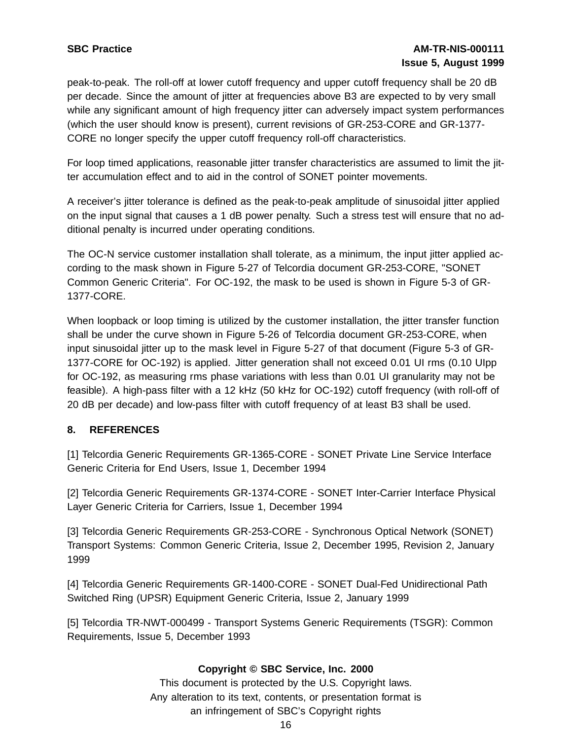peak-to-peak. The roll-off at lower cutoff frequency and upper cutoff frequency shall be 20 dB per decade. Since the amount of jitter at frequencies above B3 are expected to by very small while any significant amount of high frequency jitter can adversely impact system performances (which the user should know is present), current revisions of GR-253-CORE and GR-1377- CORE no longer specify the upper cutoff frequency roll-off characteristics.

For loop timed applications, reasonable jitter transfer characteristics are assumed to limit the jitter accumulation effect and to aid in the control of SONET pointer movements.

A receiver's jitter tolerance is defined as the peak-to-peak amplitude of sinusoidal jitter applied on the input signal that causes a 1 dB power penalty. Such a stress test will ensure that no additional penalty is incurred under operating conditions.

The OC-N service customer installation shall tolerate, as a minimum, the input jitter applied according to the mask shown in Figure 5-27 of Telcordia document GR-253-CORE, "SONET Common Generic Criteria". For OC-192, the mask to be used is shown in Figure 5-3 of GR-1377-CORE.

When loopback or loop timing is utilized by the customer installation, the jitter transfer function shall be under the curve shown in Figure 5-26 of Telcordia document GR-253-CORE, when input sinusoidal jitter up to the mask level in Figure 5-27 of that document (Figure 5-3 of GR-1377-CORE for OC-192) is applied. Jitter generation shall not exceed 0.01 UI rms (0.10 UIpp for OC-192, as measuring rms phase variations with less than 0.01 UI granularity may not be feasible). A high-pass filter with a 12 kHz (50 kHz for OC-192) cutoff frequency (with roll-off of 20 dB per decade) and low-pass filter with cutoff frequency of at least B3 shall be used.

## **8. REFERENCES**

[1] Telcordia Generic Requirements GR-1365-CORE - SONET Private Line Service Interface Generic Criteria for End Users, Issue 1, December 1994

[2] Telcordia Generic Requirements GR-1374-CORE - SONET Inter-Carrier Interface Physical Layer Generic Criteria for Carriers, Issue 1, December 1994

[3] Telcordia Generic Requirements GR-253-CORE - Synchronous Optical Network (SONET) Transport Systems: Common Generic Criteria, Issue 2, December 1995, Revision 2, January 1999

[4] Telcordia Generic Requirements GR-1400-CORE - SONET Dual-Fed Unidirectional Path Switched Ring (UPSR) Equipment Generic Criteria, Issue 2, January 1999

[5] Telcordia TR-NWT-000499 - Transport Systems Generic Requirements (TSGR): Common Requirements, Issue 5, December 1993

## **Copyright © SBC Service, Inc. 2000**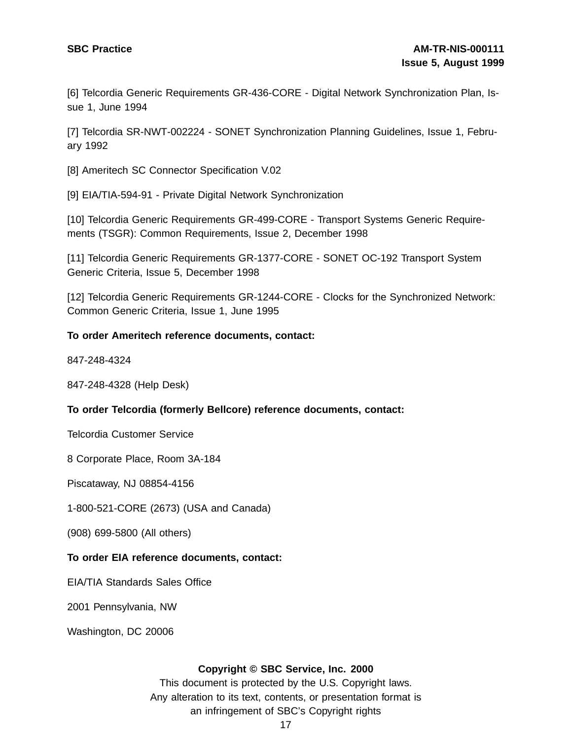[6] Telcordia Generic Requirements GR-436-CORE - Digital Network Synchronization Plan, Issue 1, June 1994

[7] Telcordia SR-NWT-002224 - SONET Synchronization Planning Guidelines, Issue 1, February 1992

[8] Ameritech SC Connector Specification V.02

[9] EIA/TIA-594-91 - Private Digital Network Synchronization

[10] Telcordia Generic Requirements GR-499-CORE - Transport Systems Generic Requirements (TSGR): Common Requirements, Issue 2, December 1998

[11] Telcordia Generic Requirements GR-1377-CORE - SONET OC-192 Transport System Generic Criteria, Issue 5, December 1998

[12] Telcordia Generic Requirements GR-1244-CORE - Clocks for the Synchronized Network: Common Generic Criteria, Issue 1, June 1995

### **To order Ameritech reference documents, contact:**

847-248-4324

847-248-4328 (Help Desk)

#### **To order Telcordia (formerly Bellcore) reference documents, contact:**

Telcordia Customer Service

8 Corporate Place, Room 3A-184

Piscataway, NJ 08854-4156

1-800-521-CORE (2673) (USA and Canada)

(908) 699-5800 (All others)

#### **To order EIA reference documents, contact:**

EIA/TIA Standards Sales Office

2001 Pennsylvania, NW

Washington, DC 20006

#### **Copyright © SBC Service, Inc. 2000**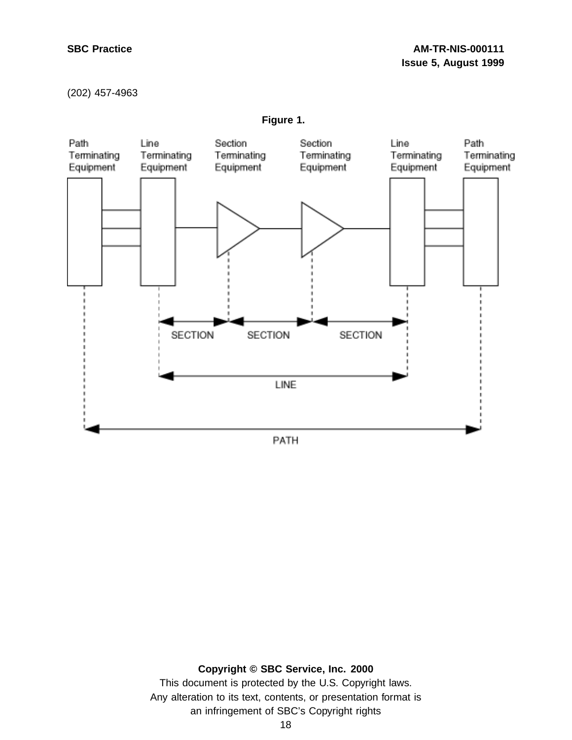## **SBC Practice AM-TR-NIS-000111 Issue 5, August 1999**

#### (202) 457-4963



**Figure 1.**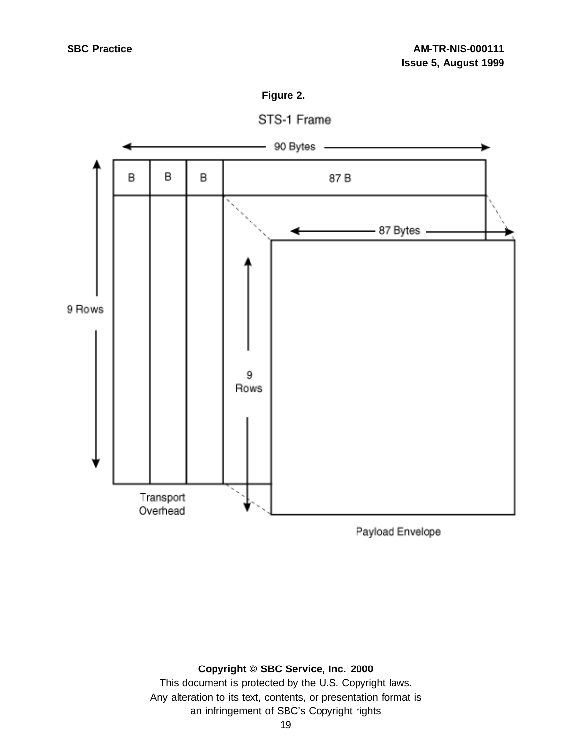





Payload Envelope

## **Copyright © SBC Service, Inc. 2000**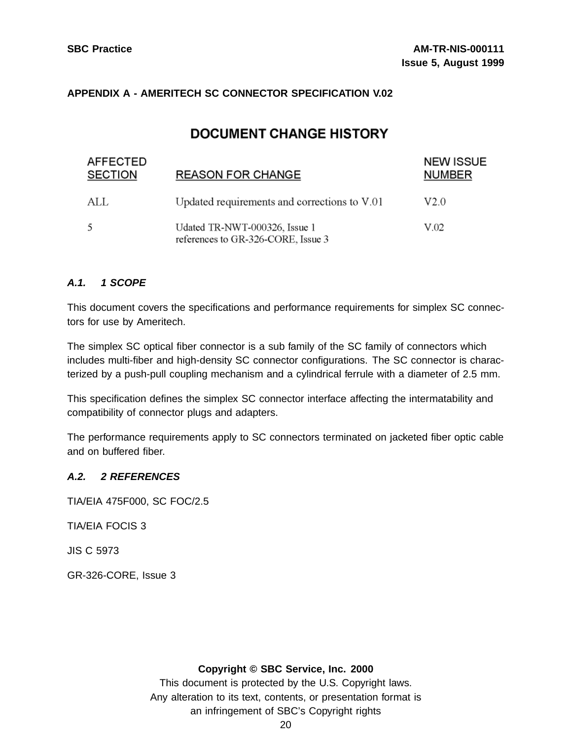## **APPENDIX A - AMERITECH SC CONNECTOR SPECIFICATION V.02**

## **DOCUMENT CHANGE HISTORY**

| <b>AFFECTED</b><br><b>SECTION</b> | <b>REASON FOR CHANGE</b>                                            | <b>NEW ISSUE</b><br><b>NUMBER</b> |  |
|-----------------------------------|---------------------------------------------------------------------|-----------------------------------|--|
| ALL                               | Updated requirements and corrections to V.01                        | V2.0                              |  |
| 5                                 | Udated TR-NWT-000326, Issue 1<br>references to GR-326-CORE, Issue 3 | V.02                              |  |

## **A.1. 1 SCOPE**

This document covers the specifications and performance requirements for simplex SC connectors for use by Ameritech.

The simplex SC optical fiber connector is a sub family of the SC family of connectors which includes multi-fiber and high-density SC connector configurations. The SC connector is characterized by a push-pull coupling mechanism and a cylindrical ferrule with a diameter of 2.5 mm.

This specification defines the simplex SC connector interface affecting the intermatability and compatibility of connector plugs and adapters.

The performance requirements apply to SC connectors terminated on jacketed fiber optic cable and on buffered fiber.

## **A.2. 2 REFERENCES**

TIA/EIA 475F000, SC FOC/2.5

TIA/EIA FOCIS 3

JIS C 5973

GR-326-CORE, Issue 3

#### **Copyright © SBC Service, Inc. 2000**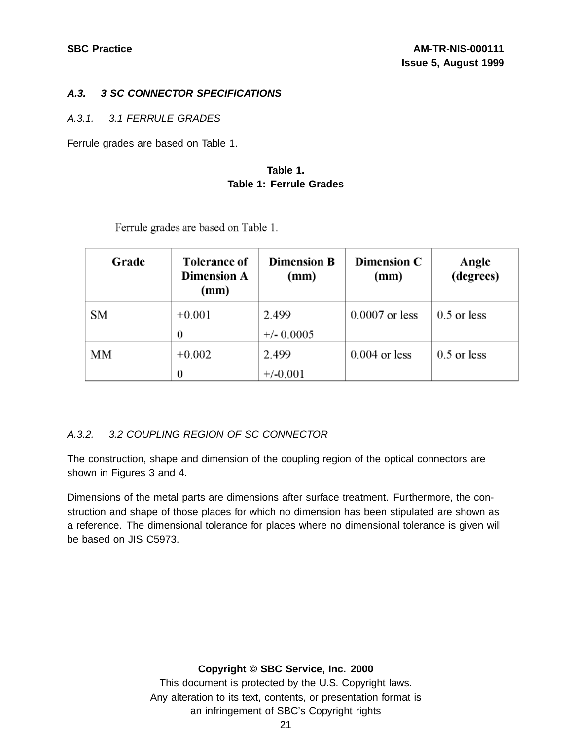## **A.3. 3 SC CONNECTOR SPECIFICATIONS**

## A.3.1. 3.1 FERRULE GRADES

Ferrule grades are based on Table 1.

## **Table 1. Table 1: Ferrule Grades**

| Grade | <b>Tolerance of</b><br><b>Dimension A</b><br>(mm) | <b>Dimension B</b><br>(mm) | <b>Dimension C</b><br>(mm) | Angle<br>(degrees) |
|-------|---------------------------------------------------|----------------------------|----------------------------|--------------------|
| SМ    | $+0.001$                                          | 2.499                      | $0.0007$ or less           | $0.5$ or less      |
|       | 0                                                 | $+/- 0.0005$               |                            |                    |
| MМ    | $+0.002$                                          | 2.499                      | $0.004$ or less            | $0.5$ or less      |
|       | 0                                                 | $+/-0.001$                 |                            |                    |

Ferrule grades are based on Table 1.

## A.3.2. 3.2 COUPLING REGION OF SC CONNECTOR

The construction, shape and dimension of the coupling region of the optical connectors are shown in Figures 3 and 4.

Dimensions of the metal parts are dimensions after surface treatment. Furthermore, the construction and shape of those places for which no dimension has been stipulated are shown as a reference. The dimensional tolerance for places where no dimensional tolerance is given will be based on JIS C5973.

## **Copyright © SBC Service, Inc. 2000**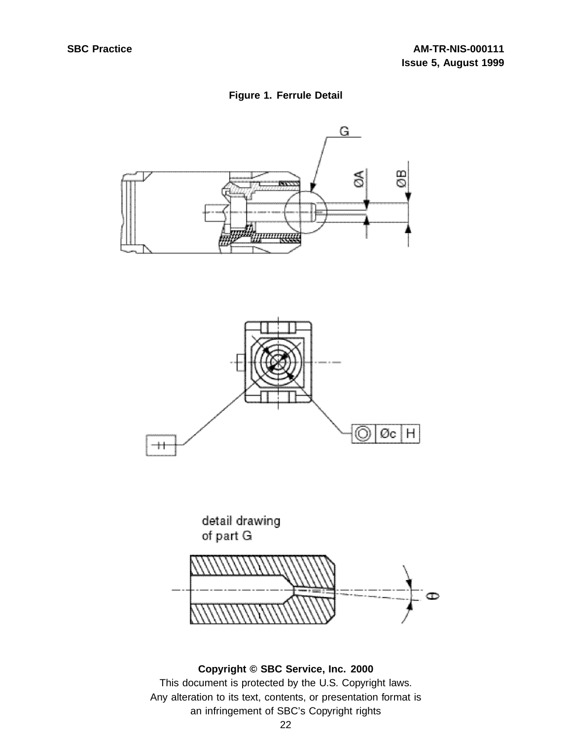## **Figure 1. Ferrule Detail**





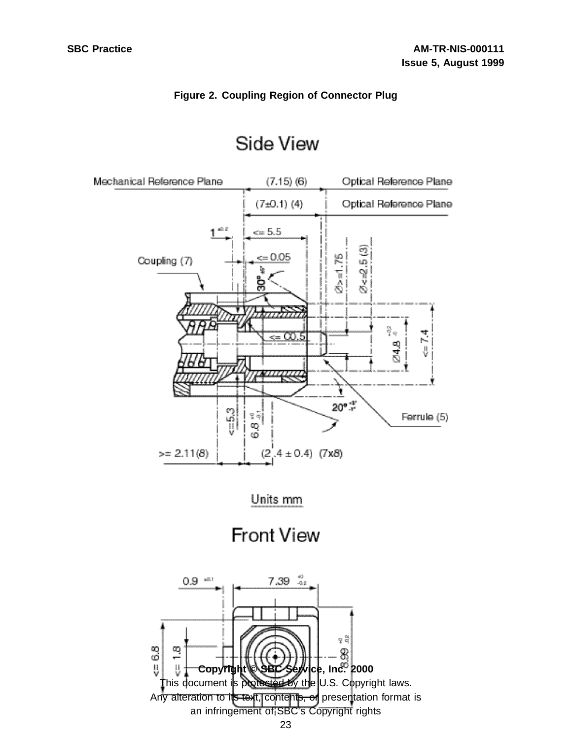## **Figure 2. Coupling Region of Connector Plug**



# Side View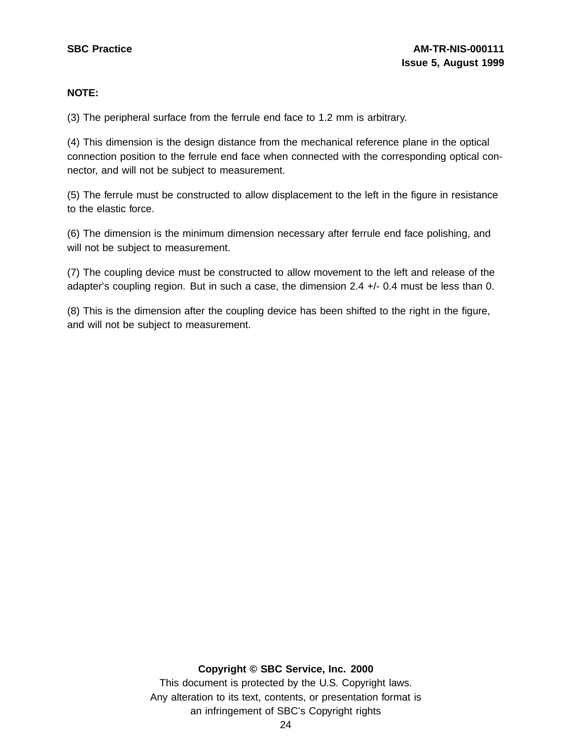## **NOTE:**

(3) The peripheral surface from the ferrule end face to 1.2 mm is arbitrary.

(4) This dimension is the design distance from the mechanical reference plane in the optical connection position to the ferrule end face when connected with the corresponding optical connector, and will not be subject to measurement.

(5) The ferrule must be constructed to allow displacement to the left in the figure in resistance to the elastic force.

(6) The dimension is the minimum dimension necessary after ferrule end face polishing, and will not be subject to measurement.

(7) The coupling device must be constructed to allow movement to the left and release of the adapter's coupling region. But in such a case, the dimension 2.4 +/- 0.4 must be less than 0.

(8) This is the dimension after the coupling device has been shifted to the right in the figure, and will not be subject to measurement.

## **Copyright © SBC Service, Inc. 2000**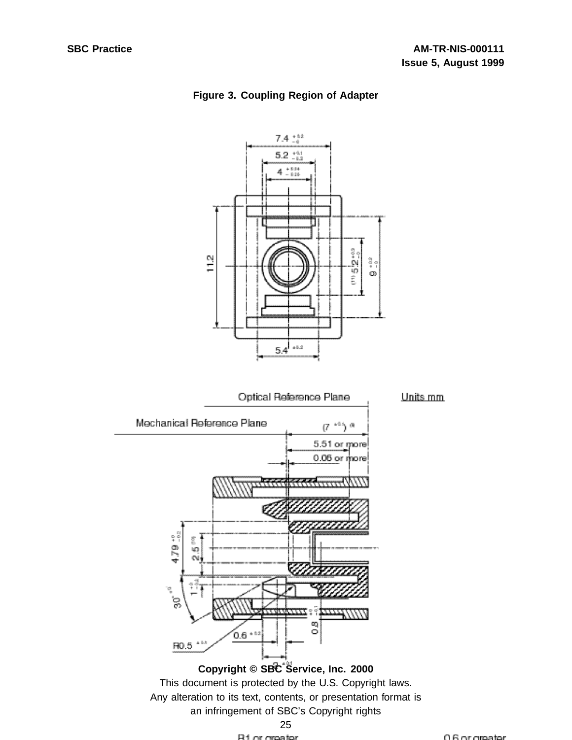

## **Figure 3. Coupling Region of Adapter**

Any alteration to its text, contents, or presentation format is an infringement of SBC's Copyright rights



0.6 or groater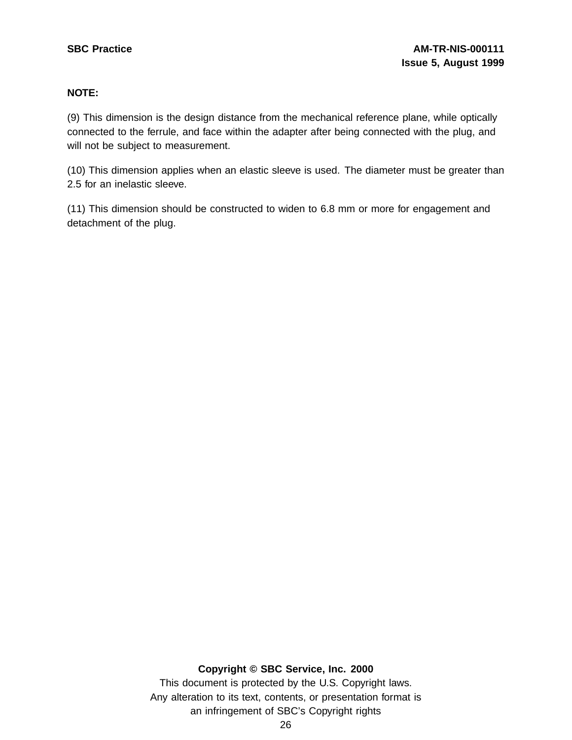## **NOTE:**

(9) This dimension is the design distance from the mechanical reference plane, while optically connected to the ferrule, and face within the adapter after being connected with the plug, and will not be subject to measurement.

(10) This dimension applies when an elastic sleeve is used. The diameter must be greater than 2.5 for an inelastic sleeve.

(11) This dimension should be constructed to widen to 6.8 mm or more for engagement and detachment of the plug.

## **Copyright © SBC Service, Inc. 2000**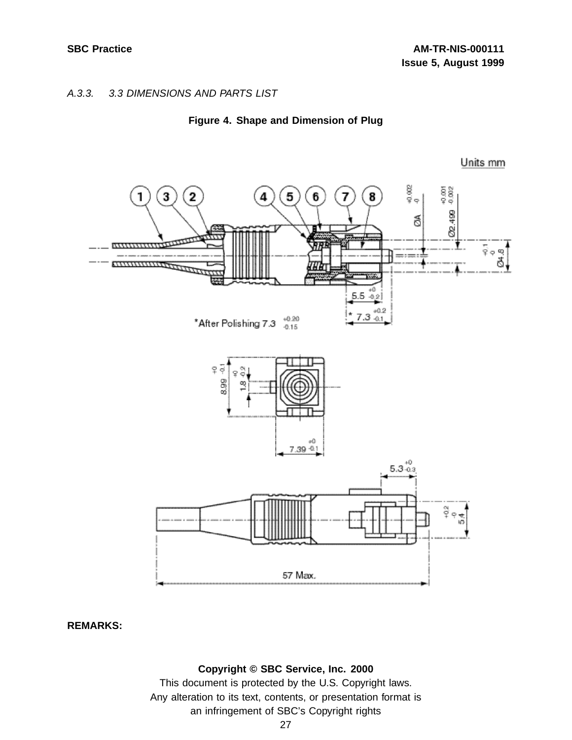## A.3.3. 3.3 DIMENSIONS AND PARTS LIST





Units mm

**REMARKS:**

### **Copyright © SBC Service, Inc. 2000**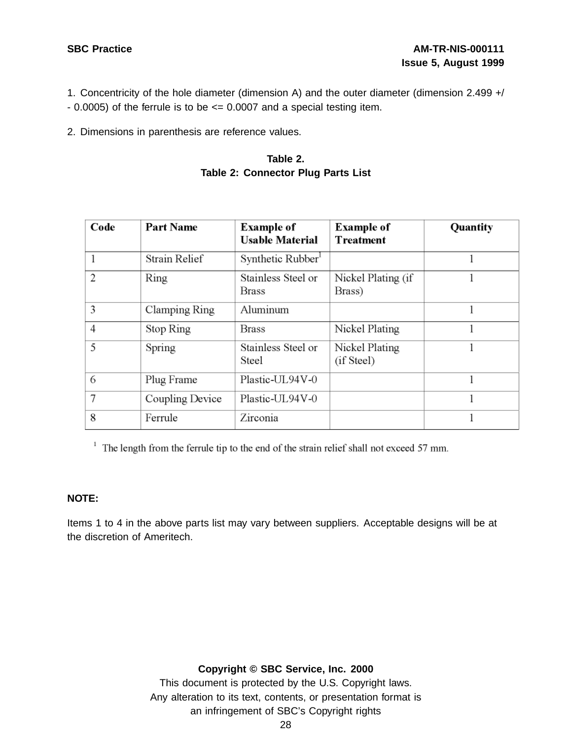- 1. Concentricity of the hole diameter (dimension A) and the outer diameter (dimension 2.499 +/
- $-$  0.0005) of the ferrule is to be  $\leq$  0.0007 and a special testing item.
- 2. Dimensions in parenthesis are reference values.

## **Table 2. Table 2: Connector Plug Parts List**

| Code           | <b>Part Name</b> | <b>Example of</b><br><b>Usable Material</b> | <b>Example of</b><br><b>Treatment</b> | Quantity |
|----------------|------------------|---------------------------------------------|---------------------------------------|----------|
|                | Strain Relief    | Synthetic Rubber <sup>1</sup>               |                                       |          |
| $\overline{2}$ | Ring             | Stainless Steel or<br><b>Brass</b>          | Nickel Plating (if<br>Brass)          |          |
| 3              | Clamping Ring    | Aluminum                                    |                                       |          |
| $\overline{4}$ | Stop Ring        | Brass                                       | Nickel Plating                        |          |
| 5              | Spring           | Stainless Steel or<br>Steel                 | Nickel Plating<br>(if Steel)          |          |
| 6              | Plug Frame       | Plastic-UL94V-0                             |                                       |          |
| 7              | Coupling Device  | Plastic-UL94V-0                             |                                       |          |
| 8              | Ferrule          | Zirconia                                    |                                       |          |

 $1$  The length from the ferrule tip to the end of the strain relief shall not exceed 57 mm.

## **NOTE:**

Items 1 to 4 in the above parts list may vary between suppliers. Acceptable designs will be at the discretion of Ameritech.

## **Copyright © SBC Service, Inc. 2000**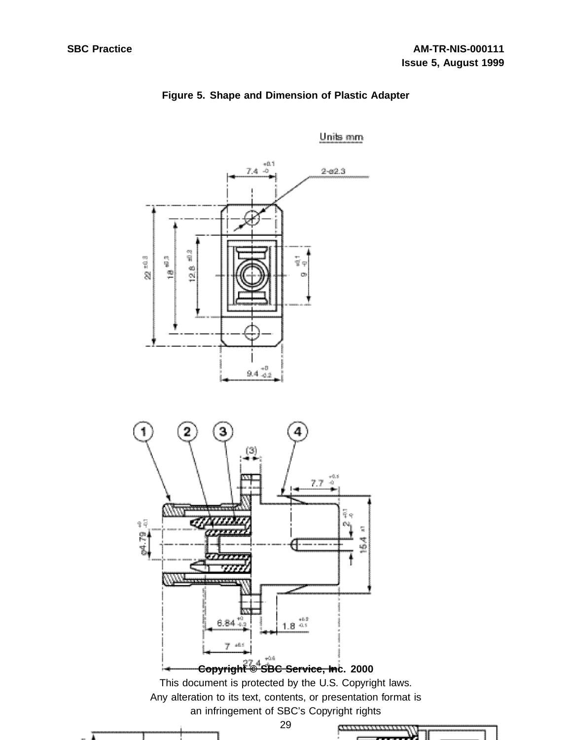

## **Figure 5. Shape and Dimension of Plastic Adapter**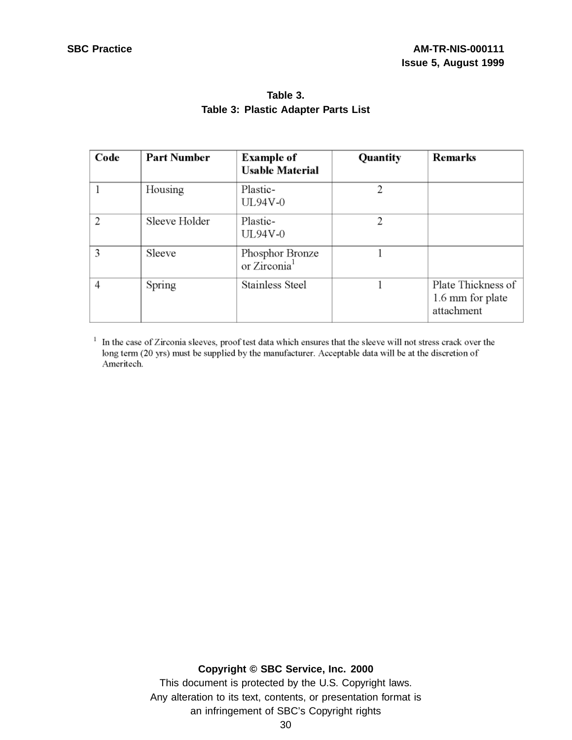| Code | <b>Part Number</b> | <b>Example of</b><br><b>Usable Material</b> | Quantity | <b>Remarks</b>                                       |
|------|--------------------|---------------------------------------------|----------|------------------------------------------------------|
|      | Housing            | Plastic-<br><b>UL94V-0</b>                  | 2        |                                                      |
| 2    | Sleeve Holder      | Plastic-<br>UL94V-0                         | 2        |                                                      |
| 3    | Sleeve             | Phosphor Bronze<br>or Zirconia <sup>1</sup> |          |                                                      |
| 4    | Spring             | Stainless Steel                             |          | Plate Thickness of<br>1.6 mm for plate<br>attachment |

## **Table 3. Table 3: Plastic Adapter Parts List**

<sup>1</sup> In the case of Zirconia sleeves, proof test data which ensures that the sleeve will not stress crack over the long term (20 yrs) must be supplied by the manufacturer. Acceptable data will be at the discretion of Ameritech.

## **Copyright © SBC Service, Inc. 2000**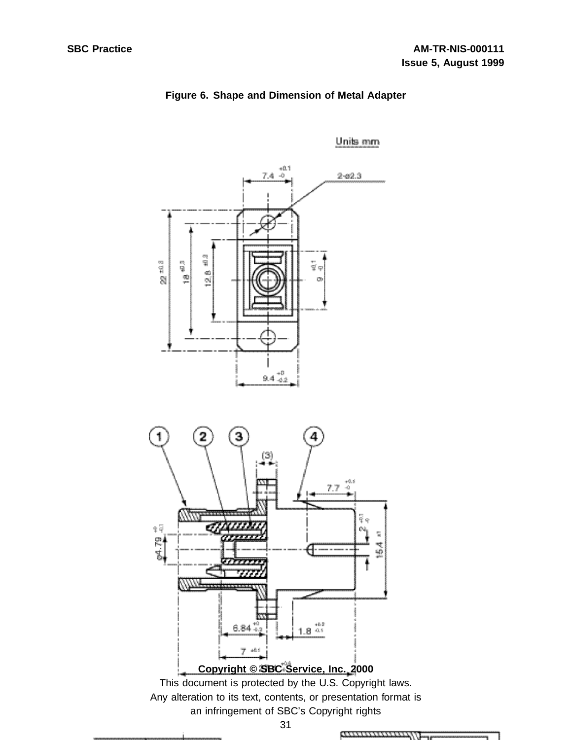

## **Figure 6. Shape and Dimension of Metal Adapter**

31

ammonwear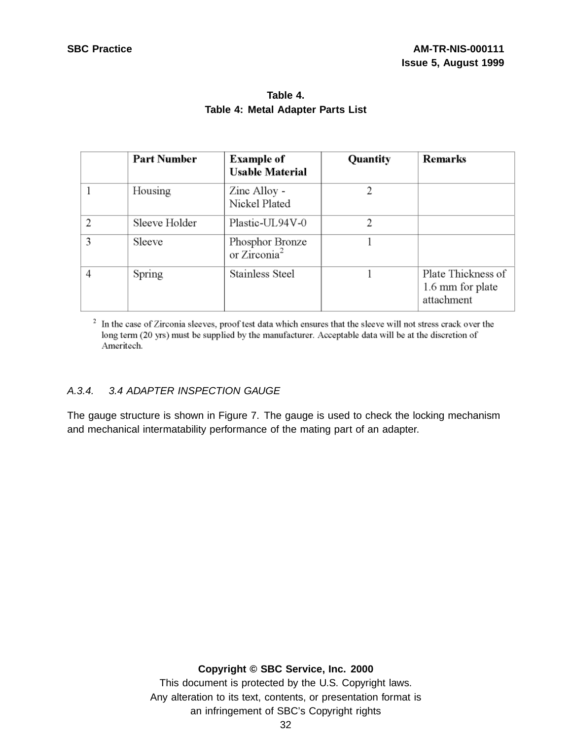|   | <b>Part Number</b> | <b>Example of</b><br><b>Usable Material</b> | Quantity | <b>Remarks</b>                                       |
|---|--------------------|---------------------------------------------|----------|------------------------------------------------------|
|   | Housing            | Zinc Alloy -<br>Nickel Plated               | 2        |                                                      |
| 2 | Sleeve Holder      | Plastic-UL94V-0                             | 2        |                                                      |
| 3 | Sleeve             | Phosphor Bronze<br>or Zirconia <sup>2</sup> |          |                                                      |
| 4 | Spring             | <b>Stainless Steel</b>                      |          | Plate Thickness of<br>1.6 mm for plate<br>attachment |

## **Table 4. Table 4: Metal Adapter Parts List**

<sup>2</sup> In the case of Zirconia sleeves, proof test data which ensures that the sleeve will not stress crack over the long term (20 yrs) must be supplied by the manufacturer. Acceptable data will be at the discretion of Ameritech.

## A.3.4. 3.4 ADAPTER INSPECTION GAUGE

The gauge structure is shown in Figure 7. The gauge is used to check the locking mechanism and mechanical intermatability performance of the mating part of an adapter.

## **Copyright © SBC Service, Inc. 2000**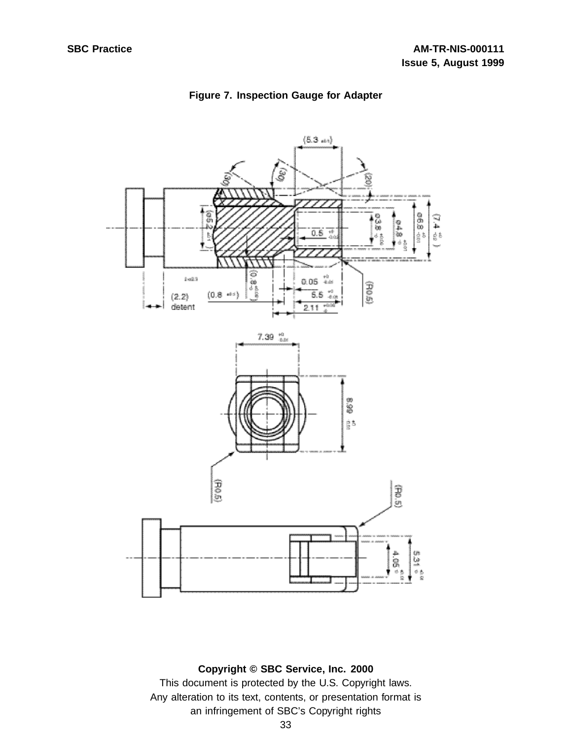

## **Figure 7. Inspection Gauge for Adapter**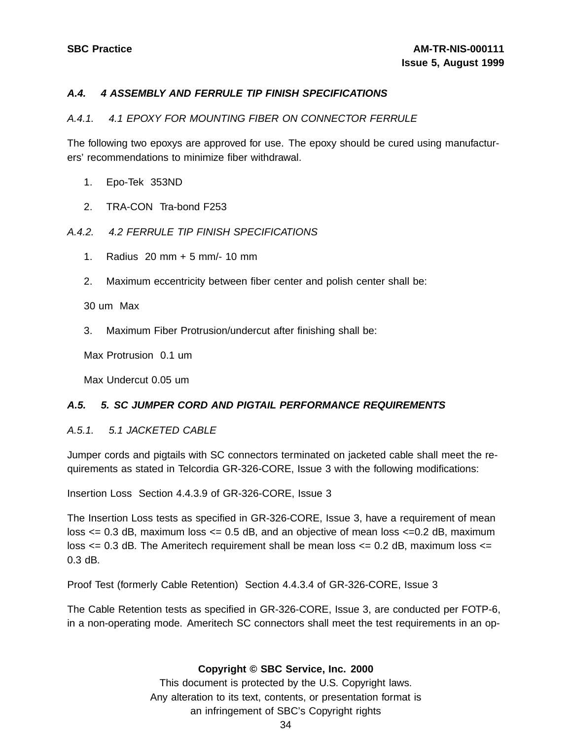## **A.4. 4 ASSEMBLY AND FERRULE TIP FINISH SPECIFICATIONS**

## A.4.1. 4.1 EPOXY FOR MOUNTING FIBER ON CONNECTOR FERRULE

The following two epoxys are approved for use. The epoxy should be cured using manufacturers' recommendations to minimize fiber withdrawal.

- 1. Epo-Tek 353ND
- 2. TRA-CON Tra-bond F253

## A.4.2. 4.2 FERRULE TIP FINISH SPECIFICATIONS

- 1. Radius 20 mm + 5 mm/- 10 mm
- 2. Maximum eccentricity between fiber center and polish center shall be:

30 um Max

3. Maximum Fiber Protrusion/undercut after finishing shall be:

Max Protrusion 0.1 um

Max Undercut 0.05 um

## **A.5. 5. SC JUMPER CORD AND PIGTAIL PERFORMANCE REQUIREMENTS**

#### A.5.1. 5.1 JACKETED CABLE

Jumper cords and pigtails with SC connectors terminated on jacketed cable shall meet the requirements as stated in Telcordia GR-326-CORE, Issue 3 with the following modifications:

Insertion Loss Section 4.4.3.9 of GR-326-CORE, Issue 3

The Insertion Loss tests as specified in GR-326-CORE, Issue 3, have a requirement of mean loss  $\epsilon$  = 0.3 dB, maximum loss  $\epsilon$  = 0.5 dB, and an objective of mean loss  $\epsilon$  = 0.2 dB, maximum loss  $\leq$  0.3 dB. The Ameritech requirement shall be mean loss  $\leq$  0.2 dB, maximum loss  $\leq$ 0.3 dB.

Proof Test (formerly Cable Retention) Section 4.4.3.4 of GR-326-CORE, Issue 3

The Cable Retention tests as specified in GR-326-CORE, Issue 3, are conducted per FOTP-6, in a non-operating mode. Ameritech SC connectors shall meet the test requirements in an op-

#### **Copyright © SBC Service, Inc. 2000**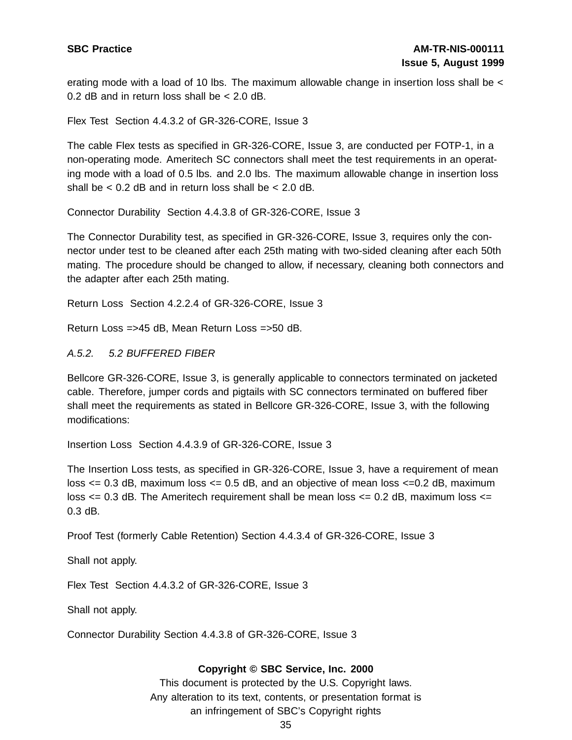erating mode with a load of 10 lbs. The maximum allowable change in insertion loss shall be < 0.2 dB and in return loss shall be < 2.0 dB.

Flex Test Section 4.4.3.2 of GR-326-CORE, Issue 3

The cable Flex tests as specified in GR-326-CORE, Issue 3, are conducted per FOTP-1, in a non-operating mode. Ameritech SC connectors shall meet the test requirements in an operating mode with a load of 0.5 lbs. and 2.0 lbs. The maximum allowable change in insertion loss shall be  $< 0.2$  dB and in return loss shall be  $< 2.0$  dB.

Connector Durability Section 4.4.3.8 of GR-326-CORE, Issue 3

The Connector Durability test, as specified in GR-326-CORE, Issue 3, requires only the connector under test to be cleaned after each 25th mating with two-sided cleaning after each 50th mating. The procedure should be changed to allow, if necessary, cleaning both connectors and the adapter after each 25th mating.

Return Loss Section 4.2.2.4 of GR-326-CORE, Issue 3

Return Loss =>45 dB, Mean Return Loss =>50 dB.

A.5.2. 5.2 BUFFERED FIBER

Bellcore GR-326-CORE, Issue 3, is generally applicable to connectors terminated on jacketed cable. Therefore, jumper cords and pigtails with SC connectors terminated on buffered fiber shall meet the requirements as stated in Bellcore GR-326-CORE, Issue 3, with the following modifications:

Insertion Loss Section 4.4.3.9 of GR-326-CORE, Issue 3

The Insertion Loss tests, as specified in GR-326-CORE, Issue 3, have a requirement of mean loss  $\leq$  0.3 dB, maximum loss  $\leq$  0.5 dB, and an objective of mean loss  $\leq$  0.2 dB, maximum loss  $\epsilon$  = 0.3 dB. The Ameritech requirement shall be mean loss  $\epsilon$  = 0.2 dB, maximum loss  $\epsilon$  =  $0.3$  dB.

Proof Test (formerly Cable Retention) Section 4.4.3.4 of GR-326-CORE, Issue 3

Shall not apply.

Flex Test Section 4.4.3.2 of GR-326-CORE, Issue 3

Shall not apply.

Connector Durability Section 4.4.3.8 of GR-326-CORE, Issue 3

#### **Copyright © SBC Service, Inc. 2000**